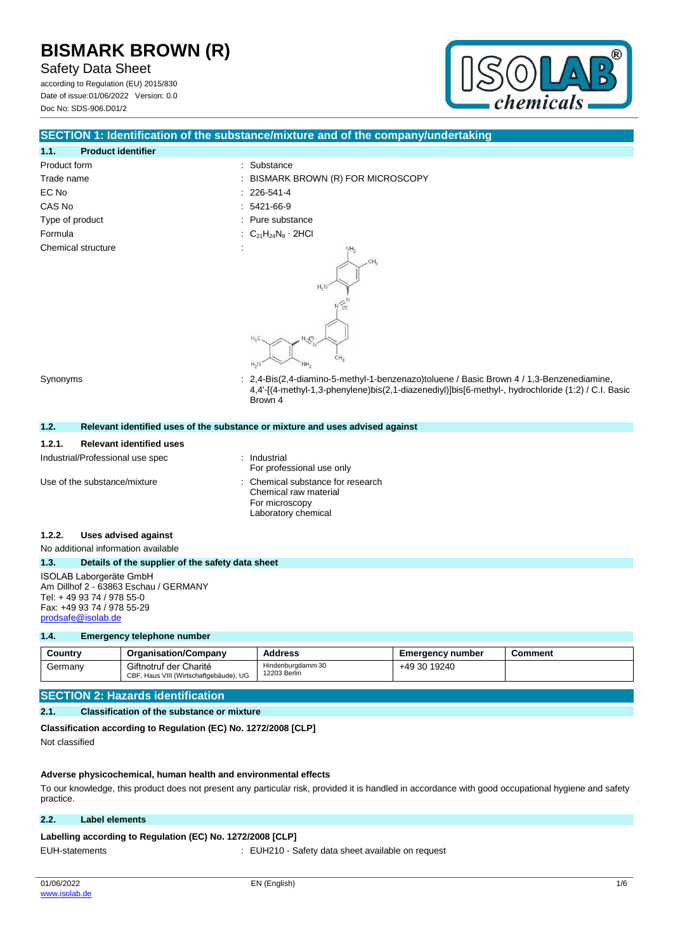Safety Data Sheet

according to Regulation (EU) 2015/830 Date of issue:01/06/2022 Version: 0.0 Doc No: SDS-906.D01/2



## **SECTION 1: Identification of the substance/mixture and of the company/undertaking**

| 1.1.               | <b>Product identifier</b> |  |
|--------------------|---------------------------|--|
| Product form       |                           |  |
| Trade name         |                           |  |
| EC No              |                           |  |
| CAS No             |                           |  |
| Type of product    |                           |  |
| Formula            |                           |  |
| Chemical structure |                           |  |
|                    |                           |  |

: Substance

- : BISMARK BROWN (R) FOR MICROSCOPY
- $: 226 541 4$
- $: 5421 66 9$
- : Pure substance
- :  $C_{21}H_{24}N_8 \cdot 2HCl$



Synonyms : 2,4-Bis(2,4-diamino-5-methyl-1-benzenazo)toluene / Basic Brown 4 / 1,3-Benzenediamine, 4,4'-[(4-methyl-1,3-phenylene)bis(2,1-diazenediyl)]bis[6-methyl-, hydrochloride (1:2) / C.I. Basic Brown 4

| 1.2.   |                                                  | Relevant identified uses of the substance or mixture and uses advised against                     |
|--------|--------------------------------------------------|---------------------------------------------------------------------------------------------------|
| 1.2.1. | <b>Relevant identified uses</b>                  |                                                                                                   |
|        | Industrial/Professional use spec                 | Industrial<br>For professional use only                                                           |
|        | Use of the substance/mixture                     | Chemical substance for research<br>Chemical raw material<br>For microscopy<br>Laboratory chemical |
| 1.2.2. | Uses advised against                             |                                                                                                   |
|        | No additional information available              |                                                                                                   |
| 1.3.   | Details of the supplier of the safety data sheet |                                                                                                   |
|        | <b>ISOLAB Laborgeräte GmbH</b>                   |                                                                                                   |

Am Dillhof 2 - 63863 Eschau / GERMANY Tel: + 49 93 74 / 978 55-0 Fax: +49 93 74 / 978 55-29 [prodsafe@isolab.de](mailto:prodsafe@isolab.de)

## **1.4. Emergency telephone number**

| Country | <b>Organisation/Company</b>                                      | <b>Address</b>                    | Emergency number | Comment |
|---------|------------------------------------------------------------------|-----------------------------------|------------------|---------|
| Germanv | Giftnotruf der Charité<br>CBF, Haus VIII (Wirtschaftgebäude), UG | Hindenburgdamm 30<br>12203 Berlin | +49 30 19240     |         |

## **SECTION 2: Hazards identification**

## **2.1. Classification of the substance or mixture**

**Classification according to Regulation (EC) No. 1272/2008 [CLP]**

Not classified

## **Adverse physicochemical, human health and environmental effects**

To our knowledge, this product does not present any particular risk, provided it is handled in accordance with good occupational hygiene and safety practice.

## **2.2. Label elements**

## Labelling according to Regulation (EC) No. 1272/2008 [CLP]

EUH-statements : EUH210 - Safety data sheet available on request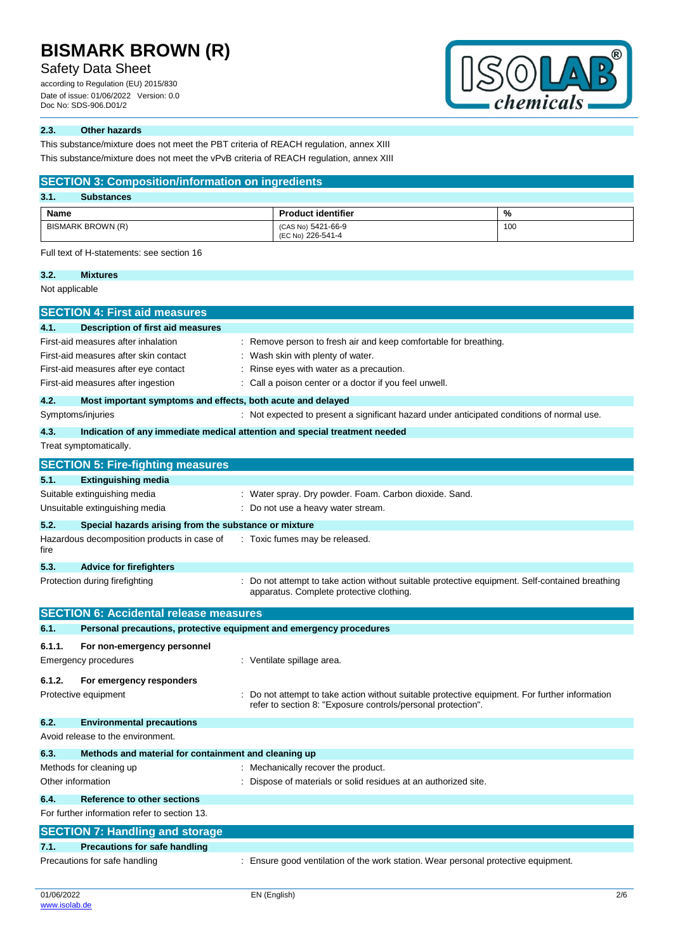## Safety Data Sheet

according to Regulation (EU) 2015/830 Date of issue: 01/06/2022 Version: 0.0 Doc No: SDS-906.D01/2



## **2.3. Other hazards**

This substance/mixture does not meet the PBT criteria of REACH regulation, annex XIII

This substance/mixture does not meet the vPvB criteria of REACH regulation, annex XIII

|        | <b>SECTION 3: Composition/information on ingredients</b>            |                                                                                                                                                                |     |  |  |
|--------|---------------------------------------------------------------------|----------------------------------------------------------------------------------------------------------------------------------------------------------------|-----|--|--|
| 3.1.   | <b>Substances</b>                                                   |                                                                                                                                                                |     |  |  |
| Name   |                                                                     | <b>Product identifier</b>                                                                                                                                      | %   |  |  |
|        | <b>BISMARK BROWN (R)</b>                                            | (CAS No) 5421-66-9                                                                                                                                             | 100 |  |  |
|        |                                                                     | (EC No) 226-541-4                                                                                                                                              |     |  |  |
|        | Full text of H-statements: see section 16                           |                                                                                                                                                                |     |  |  |
| 3.2.   | <b>Mixtures</b>                                                     |                                                                                                                                                                |     |  |  |
|        | Not applicable                                                      |                                                                                                                                                                |     |  |  |
|        | <b>SECTION 4: First aid measures</b>                                |                                                                                                                                                                |     |  |  |
| 4.1.   | Description of first aid measures                                   |                                                                                                                                                                |     |  |  |
|        | First-aid measures after inhalation                                 | : Remove person to fresh air and keep comfortable for breathing.                                                                                               |     |  |  |
|        | First-aid measures after skin contact                               | : Wash skin with plenty of water.                                                                                                                              |     |  |  |
|        | First-aid measures after eye contact                                | Rinse eyes with water as a precaution.                                                                                                                         |     |  |  |
|        | First-aid measures after ingestion                                  | : Call a poison center or a doctor if you feel unwell.                                                                                                         |     |  |  |
| 4.2.   | Most important symptoms and effects, both acute and delayed         |                                                                                                                                                                |     |  |  |
|        | Symptoms/injuries                                                   | : Not expected to present a significant hazard under anticipated conditions of normal use.                                                                     |     |  |  |
| 4.3.   |                                                                     | Indication of any immediate medical attention and special treatment needed                                                                                     |     |  |  |
|        | Treat symptomatically.                                              |                                                                                                                                                                |     |  |  |
|        | <b>SECTION 5: Fire-fighting measures</b>                            |                                                                                                                                                                |     |  |  |
| 5.1.   |                                                                     |                                                                                                                                                                |     |  |  |
|        | <b>Extinguishing media</b>                                          |                                                                                                                                                                |     |  |  |
|        | Suitable extinguishing media<br>Unsuitable extinguishing media      | : Water spray. Dry powder. Foam. Carbon dioxide. Sand.<br>: Do not use a heavy water stream.                                                                   |     |  |  |
|        |                                                                     |                                                                                                                                                                |     |  |  |
| 5.2.   | Special hazards arising from the substance or mixture               |                                                                                                                                                                |     |  |  |
| fire   | Hazardous decomposition products in case of                         | : Toxic fumes may be released.                                                                                                                                 |     |  |  |
| 5.3.   | <b>Advice for firefighters</b>                                      |                                                                                                                                                                |     |  |  |
|        | Protection during firefighting                                      | Do not attempt to take action without suitable protective equipment. Self-contained breathing<br>apparatus. Complete protective clothing.                      |     |  |  |
|        | <b>SECTION 6: Accidental release measures</b>                       |                                                                                                                                                                |     |  |  |
| 6.1.   | Personal precautions, protective equipment and emergency procedures |                                                                                                                                                                |     |  |  |
| 6.1.1. | For non-emergency personnel                                         |                                                                                                                                                                |     |  |  |
|        | Emergency procedures                                                | : Ventilate spillage area.                                                                                                                                     |     |  |  |
|        |                                                                     |                                                                                                                                                                |     |  |  |
| 6.1.2. | For emergency responders                                            |                                                                                                                                                                |     |  |  |
|        | Protective equipment                                                | : Do not attempt to take action without suitable protective equipment. For further information<br>refer to section 8: "Exposure controls/personal protection". |     |  |  |
| 6.2.   | <b>Environmental precautions</b>                                    |                                                                                                                                                                |     |  |  |
|        | Avoid release to the environment.                                   |                                                                                                                                                                |     |  |  |
| 6.3.   | Methods and material for containment and cleaning up                |                                                                                                                                                                |     |  |  |
|        | Methods for cleaning up                                             | : Mechanically recover the product.                                                                                                                            |     |  |  |
|        | Other information                                                   | Dispose of materials or solid residues at an authorized site.                                                                                                  |     |  |  |
| 6.4.   | Reference to other sections                                         |                                                                                                                                                                |     |  |  |
|        | For further information refer to section 13.                        |                                                                                                                                                                |     |  |  |
|        |                                                                     |                                                                                                                                                                |     |  |  |
|        | <b>SECTION 7: Handling and storage</b>                              |                                                                                                                                                                |     |  |  |
| 7.1.   | <b>Precautions for safe handling</b>                                |                                                                                                                                                                |     |  |  |
|        | Precautions for safe handling                                       | : Ensure good ventilation of the work station. Wear personal protective equipment.                                                                             |     |  |  |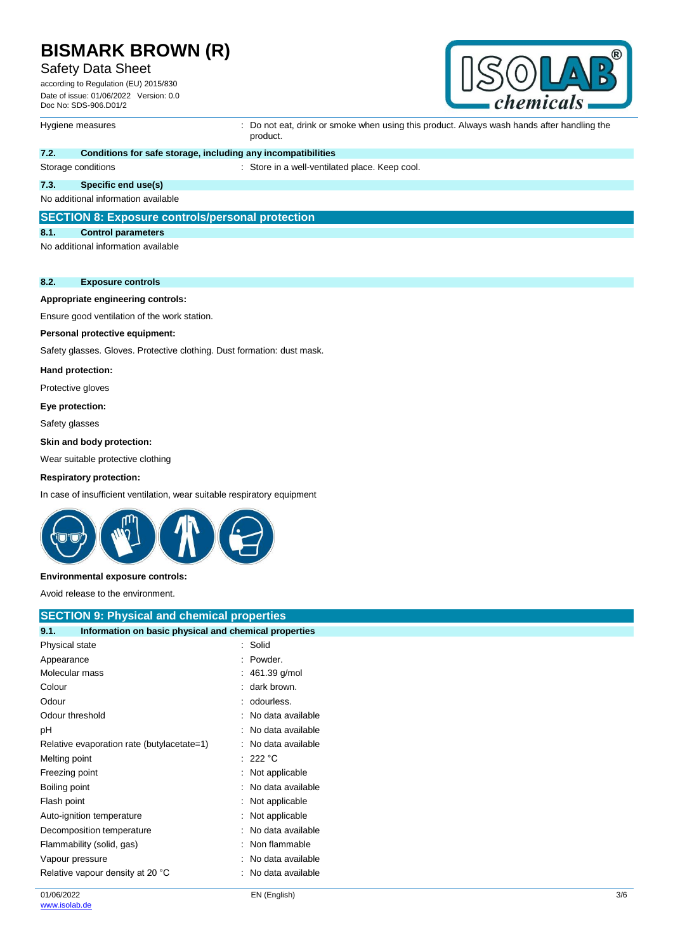## Safety Data Sheet

according to Regulation (EU) 2015/830 Date of issue: 01/06/2022 Version: 0.0 Doc No: SDS-906.D01/2



Hygiene measures **incomponance of the Constant Constant** Do not eat, drink or smoke when using this product. Always wash hands after handling the product.

## **7.2. Conditions for safe storage, including any incompatibilities**

Storage conditions **Storage conditions** : Store in a well-ventilated place. Keep cool.

### **7.3. Specific end use(s)**

No additional information available

## **SECTION 8: Exposure controls/personal protection**

#### **8.1. Control parameters**

No additional information available

## **8.2. Exposure controls**

#### **Appropriate engineering controls:**

Ensure good ventilation of the work station.

### **Personal protective equipment:**

Safety glasses. Gloves. Protective clothing. Dust formation: dust mask.

#### **Hand protection:**

Protective gloves

#### **Eye protection:**

Safety glasses

#### **Skin and body protection:**

Wear suitable protective clothing

### **Respiratory protection:**

In case of insufficient ventilation, wear suitable respiratory equipment



## **Environmental exposure controls:**

Avoid release to the environment.

## **SECTION 9: Physical and chemical properties**

| 9.1.<br>Information on basic physical and chemical properties |                     |
|---------------------------------------------------------------|---------------------|
| Physical state                                                | : Solid             |
| Appearance                                                    | : Powder.           |
| Molecular mass                                                | : $461.39$ g/mol    |
| Colour                                                        | : dark brown.       |
| Odour                                                         | : odourless.        |
| Odour threshold                                               | : No data available |
| рH                                                            | : No data available |
| Relative evaporation rate (butylacetate=1)                    | : No data available |
| Melting point                                                 | : 222 °C            |
| Freezing point                                                | : Not applicable    |
| Boiling point                                                 | : No data available |
| Flash point                                                   | : Not applicable    |
| Auto-ignition temperature                                     | : Not applicable    |
| Decomposition temperature                                     | : No data available |
| Flammability (solid, gas)                                     | : Non flammable     |
| Vapour pressure                                               | : No data available |
| Relative vapour density at 20 °C                              | : No data available |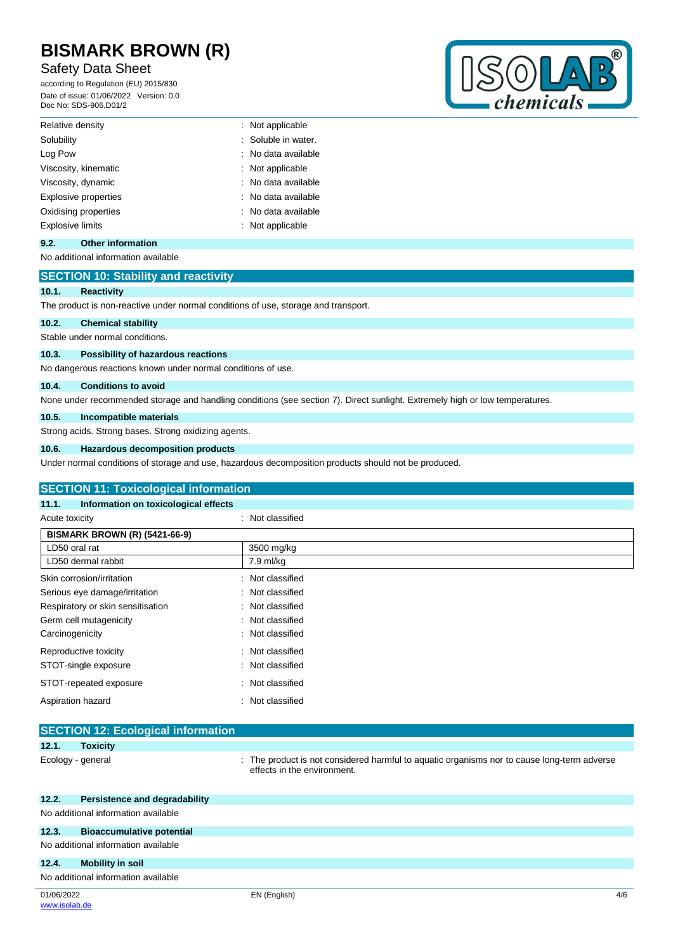## Safety Data Sheet

according to Regulation (EU) 2015/830 Date of issue: 01/06/2022 Version: 0.0 Doc No: SDS-906.D01/2



| Relative density        | : Not applicable    |
|-------------------------|---------------------|
| Solubility              | : Soluble in water. |
| Log Pow                 | : No data available |
| Viscosity, kinematic    | : Not applicable    |
| Viscosity, dynamic      | : No data available |
| Explosive properties    | : No data available |
| Oxidising properties    | : No data available |
| <b>Explosive limits</b> | : Not applicable    |

## **9.2. Other information**

No additional information available

## **SECTION 10: Stability and reactivity**

## **10.1. Reactivity**

The product is non-reactive under normal conditions of use, storage and transport.

## **10.2. Chemical stability**

Stable under normal conditions.

## **10.3. Possibility of hazardous reactions**

No dangerous reactions known under normal conditions of use.

#### **10.4. Conditions to avoid**

None under recommended storage and handling conditions (see section 7). Direct sunlight. Extremely high or low temperatures.

## **10.5. Incompatible materials**

Strong acids. Strong bases. Strong oxidizing agents.

## **10.6. Hazardous decomposition products**

Under normal conditions of storage and use, hazardous decomposition products should not be produced.

### **SECTION 11: Toxicological information**

### **11.1. Information on toxicological effects**

| Acute toxicity                       | : Not classified    |  |
|--------------------------------------|---------------------|--|
| <b>BISMARK BROWN (R) (5421-66-9)</b> |                     |  |
| LD50 oral rat                        | 3500 mg/kg          |  |
| LD50 dermal rabbit                   | 7.9 ml/kg           |  |
| Skin corrosion/irritation            | : Not classified    |  |
| Serious eye damage/irritation        | : Not classified    |  |
| Respiratory or skin sensitisation    | : Not classified    |  |
| Germ cell mutagenicity               | : Not classified    |  |
| Carcinogenicity                      | : Not classified    |  |
| Reproductive toxicity                | Not classified<br>٠ |  |
| STOT-single exposure                 | : Not classified    |  |
| STOT-repeated exposure               | Not classified<br>۰ |  |
| Aspiration hazard                    | Not classified      |  |

|       | <b>SECTION 12. ECOlogical Information</b> |                                                                                                                            |
|-------|-------------------------------------------|----------------------------------------------------------------------------------------------------------------------------|
| 12.1. | <b>Toxicity</b>                           |                                                                                                                            |
|       | Ecology - general                         | : The product is not considered harmful to aquatic organisms nor to cause long-term adverse<br>effects in the environment. |
| 12.2. | Persistence and degradability             |                                                                                                                            |
|       | No additional information available       |                                                                                                                            |
| 12.3. | <b>Bioaccumulative potential</b>          |                                                                                                                            |
|       | No additional information available       |                                                                                                                            |
| 12.4. | <b>Mobility in soil</b>                   |                                                                                                                            |
|       | No additional information available       |                                                                                                                            |

**SECTION 12: Ecological information**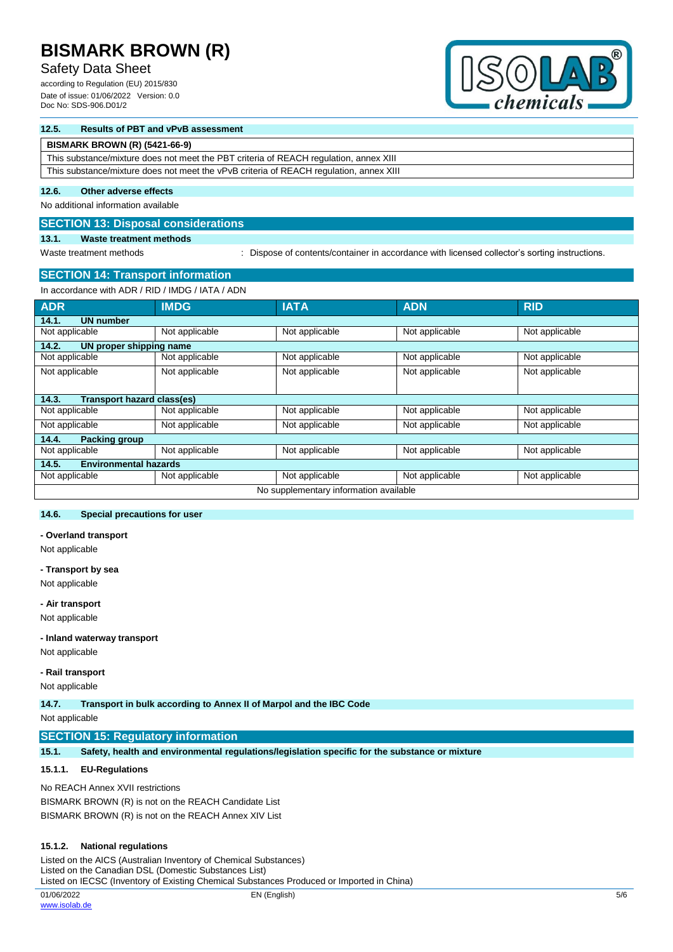## Safety Data Sheet

according to Regulation (EU) 2015/830 Date of issue: 01/06/2022 Version: 0.0 Doc No: SDS-906.D01/2



## **12.5. Results of PBT and vPvB assessment**

## **BISMARK BROWN (R) (5421-66-9)**

This substance/mixture does not meet the PBT criteria of REACH regulation, annex XIII This substance/mixture does not meet the vPvB criteria of REACH regulation, annex XIII

### **12.6. Other adverse effects**

No additional information available

## **SECTION 13: Disposal considerations**

## **13.1. Waste treatment methods**

Waste treatment methods : Dispose of contents/container in accordance with licensed collector's sorting instructions.

## **SECTION 14: Transport information**

In accordance with ADR / RID / IMDG / IATA / ADN

| <b>ADR</b>                            | <b>IMDG</b>    | <b>IATA</b>                            | <b>ADN</b>     | <b>RID</b>     |
|---------------------------------------|----------------|----------------------------------------|----------------|----------------|
| <b>UN number</b><br>14.1.             |                |                                        |                |                |
| Not applicable                        | Not applicable | Not applicable                         | Not applicable | Not applicable |
| UN proper shipping name<br>14.2.      |                |                                        |                |                |
| Not applicable                        | Not applicable | Not applicable                         | Not applicable | Not applicable |
| Not applicable                        | Not applicable | Not applicable                         | Not applicable | Not applicable |
|                                       |                |                                        |                |                |
| Transport hazard class(es)<br>14.3.   |                |                                        |                |                |
| Not applicable                        | Not applicable | Not applicable                         | Not applicable | Not applicable |
| Not applicable                        | Not applicable | Not applicable                         | Not applicable | Not applicable |
| <b>Packing group</b><br>14.4.         |                |                                        |                |                |
| Not applicable                        | Not applicable | Not applicable                         | Not applicable | Not applicable |
| <b>Environmental hazards</b><br>14.5. |                |                                        |                |                |
| Not applicable                        | Not applicable | Not applicable                         | Not applicable | Not applicable |
|                                       |                | No supplementary information available |                |                |

## **14.6. Special precautions for user**

**- Overland transport**

Not applicable

#### **- Transport by sea**

Not applicable

#### **- Air transport**

Not applicable

### **- Inland waterway transport**

Not applicable

**- Rail transport**

Not applicable

**14.7. Transport in bulk according to Annex II of Marpol and the IBC Code**

Not applicable

## **SECTION 15: Regulatory information**

**15.1. Safety, health and environmental regulations/legislation specific for the substance or mixture**

## **15.1.1. EU-Regulations**

No REACH Annex XVII restrictions BISMARK BROWN (R) is not on the REACH Candidate List BISMARK BROWN (R) is not on the REACH Annex XIV List

#### **15.1.2. National regulations**

Listed on the AICS (Australian Inventory of Chemical Substances) Listed on the Canadian DSL (Domestic Substances List) Listed on IECSC (Inventory of Existing Chemical Substances Produced or Imported in China)